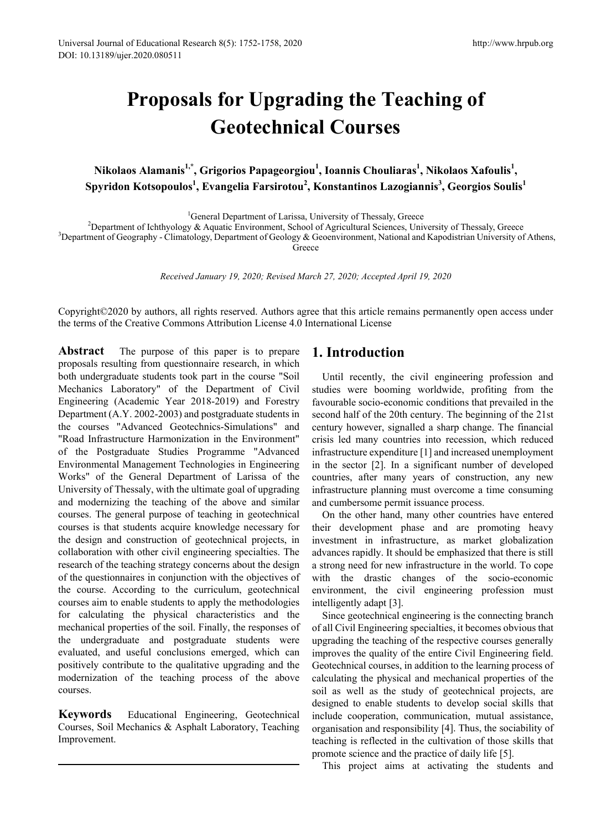# **Proposals for Upgrading the Teaching of Geotechnical Courses**

**Nikolaos Alamanis1,\*, Grigorios Papageorgiou<sup>1</sup> , Ioannis Chouliaras<sup>1</sup> , Nikolaos Xafoulis1 , Spyridon Kotsopoulos1 , Evangelia Farsirotou<sup>2</sup> , Konstantinos Lazogiannis<sup>3</sup> , Georgios Soulis1**

<sup>1</sup>General Department of Larissa, University of Thessaly, Greece <sup>1</sup> General Department of Larissa, University of Thessaly, Greece<br><sup>2</sup> Department of John boy & Aquatic Environment, School of Agricultural Sciences, Uni

<sup>2</sup>Department of Ichthyology & Aquatic Environment, School of Agricultural Sciences, University of Thessaly, Greece 3<br><sup>3</sup>Department of Geography - Climatology, Department of Geology & Geoenvironment, National and Kapodist

<sup>3</sup>Department of Geography - Climatology, Department of Geology & Geoenvironment, National and Kapodistrian University of Athens,

Greece

*Received January 19, 2020; Revised March 27, 2020; Accepted April 19, 2020*

Copyright©2020 by authors, all rights reserved. Authors agree that this article remains permanently open access under the terms of the Creative Commons Attribution License 4.0 International License

**Abstract** The purpose of this paper is to prepare proposals resulting from questionnaire research, in which both undergraduate students took part in the course "Soil Mechanics Laboratory" of the Department of Civil Engineering (Academic Year 2018-2019) and Forestry Department (A.Y. 2002-2003) and postgraduate students in the courses "Advanced Geotechnics-Simulations" and "Road Infrastructure Harmonization in the Environment" of the Postgraduate Studies Programme "Advanced Environmental Management Technologies in Engineering Works" of the General Department of Larissa of the University of Thessaly, with the ultimate goal of upgrading and modernizing the teaching of the above and similar courses. The general purpose of teaching in geotechnical courses is that students acquire knowledge necessary for the design and construction of geotechnical projects, in collaboration with other civil engineering specialties. The research of the teaching strategy concerns about the design of the questionnaires in conjunction with the objectives of the course. According to the curriculum, geotechnical courses aim to enable students to apply the methodologies for calculating the physical characteristics and the mechanical properties of the soil. Finally, the responses of the undergraduate and postgraduate students were evaluated, and useful conclusions emerged, which can positively contribute to the qualitative upgrading and the modernization of the teaching process of the above courses.

**Keywords** Educational Engineering, Geotechnical Courses, Soil Mechanics & Asphalt Laboratory, Teaching Improvement.

## **1. Introduction**

Until recently, the civil engineering profession and studies were booming worldwide, profiting from the favourable socio-economic conditions that prevailed in the second half of the 20th century. The beginning of the 21st century however, signalled a sharp change. The financial crisis led many countries into recession, which reduced infrastructure expenditure [1] and increased unemployment in the sector [2]. In a significant number of developed countries, after many years of construction, any new infrastructure planning must overcome a time consuming and cumbersome permit issuance process.

On the other hand, many other countries have entered their development phase and are promoting heavy investment in infrastructure, as market globalization advances rapidly. It should be emphasized that there is still a strong need for new infrastructure in the world. To cope with the drastic changes of the socio-economic environment, the civil engineering profession must intelligently adapt [3].

Since geotechnical engineering is the connecting branch of all Civil Engineering specialties, it becomes obvious that upgrading the teaching of the respective courses generally improves the quality of the entire Civil Engineering field. Geotechnical courses, in addition to the learning process of calculating the physical and mechanical properties of the soil as well as the study of geotechnical projects, are designed to enable students to develop social skills that include cooperation, communication, mutual assistance, organisation and responsibility [4]. Thus, the sociability of teaching is reflected in the cultivation of those skills that promote science and the practice of daily life [5].

This project aims at activating the students and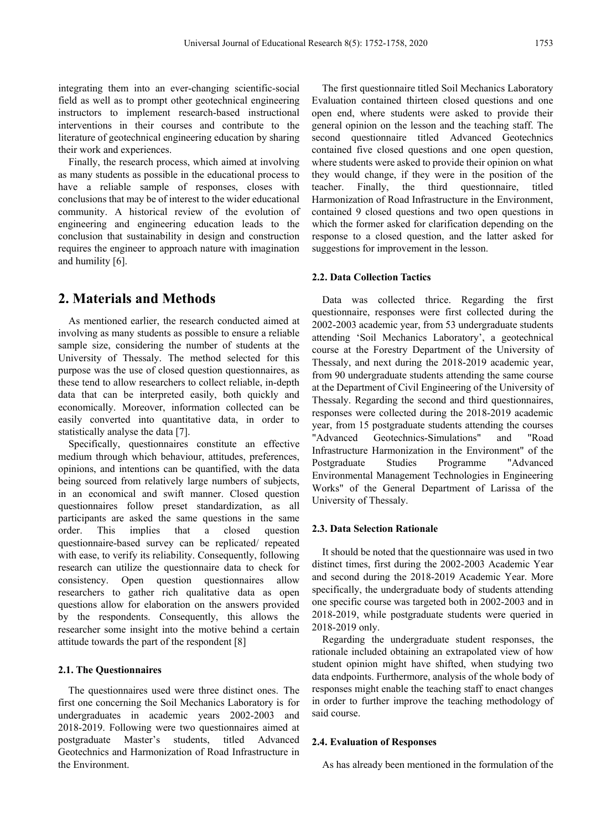integrating them into an ever-changing scientific-social field as well as to prompt other geotechnical engineering instructors to implement research-based instructional interventions in their courses and contribute to the literature of geotechnical engineering education by sharing their work and experiences.

Finally, the research process, which aimed at involving as many students as possible in the educational process to have a reliable sample of responses, closes with conclusions that may be of interest to the wider educational community. A historical review of the evolution of engineering and engineering education leads to the conclusion that sustainability in design and construction requires the engineer to approach nature with imagination and humility [6].

# **2. Materials and Methods**

As mentioned earlier, the research conducted aimed at involving as many students as possible to ensure a reliable sample size, considering the number of students at the University of Thessaly. The method selected for this purpose was the use of closed question questionnaires, as these tend to allow researchers to collect reliable, in-depth data that can be interpreted easily, both quickly and economically. Moreover, information collected can be easily converted into quantitative data, in order to statistically analyse the data [7].

Specifically, questionnaires constitute an effective medium through which behaviour, attitudes, preferences, opinions, and intentions can be quantified, with the data being sourced from relatively large numbers of subjects, in an economical and swift manner. Closed question questionnaires follow preset standardization, as all participants are asked the same questions in the same order. This implies that a closed question questionnaire-based survey can be replicated/ repeated with ease, to verify its reliability. Consequently, following research can utilize the questionnaire data to check for consistency. Open question questionnaires allow researchers to gather rich qualitative data as open questions allow for elaboration on the answers provided by the respondents. Consequently, this allows the researcher some insight into the motive behind a certain attitude towards the part of the respondent [8]

## **2.1. The Questionnaires**

The questionnaires used were three distinct ones. The first one concerning the Soil Mechanics Laboratory is for undergraduates in academic years 2002-2003 and 2018-2019. Following were two questionnaires aimed at postgraduate Master's students, titled Advanced Geotechnics and Harmonization of Road Infrastructure in the Environment.

The first questionnaire titled Soil Mechanics Laboratory Evaluation contained thirteen closed questions and one open end, where students were asked to provide their general opinion on the lesson and the teaching staff. The second questionnaire titled Advanced Geotechnics contained five closed questions and one open question, where students were asked to provide their opinion on what they would change, if they were in the position of the teacher. Finally, the third questionnaire, titled Harmonization of Road Infrastructure in the Environment, contained 9 closed questions and two open questions in which the former asked for clarification depending on the response to a closed question, and the latter asked for suggestions for improvement in the lesson.

## **2.2. Data Collection Tactics**

Data was collected thrice. Regarding the first questionnaire, responses were first collected during the 2002-2003 academic year, from 53 undergraduate students attending 'Soil Mechanics Laboratory', a geotechnical course at the Forestry Department of the University of Thessaly, and next during the 2018-2019 academic year, from 90 undergraduate students attending the same course at the Department of Civil Engineering of the University of Thessaly. Regarding the second and third questionnaires, responses were collected during the 2018-2019 academic year, from 15 postgraduate students attending the courses "Advanced Geotechnics-Simulations" and "Road Infrastructure Harmonization in the Environment" of the Postgraduate Studies Programme "Advanced Environmental Management Technologies in Engineering Works" of the General Department of Larissa of the University of Thessaly.

## **2.3. Data Selection Rationale**

It should be noted that the questionnaire was used in two distinct times, first during the 2002-2003 Academic Year and second during the 2018-2019 Academic Year. More specifically, the undergraduate body of students attending one specific course was targeted both in 2002-2003 and in 2018-2019, while postgraduate students were queried in 2018-2019 only.

Regarding the undergraduate student responses, the rationale included obtaining an extrapolated view of how student opinion might have shifted, when studying two data endpoints. Furthermore, analysis of the whole body of responses might enable the teaching staff to enact changes in order to further improve the teaching methodology of said course.

#### **2.4. Evaluation of Responses**

As has already been mentioned in the formulation of the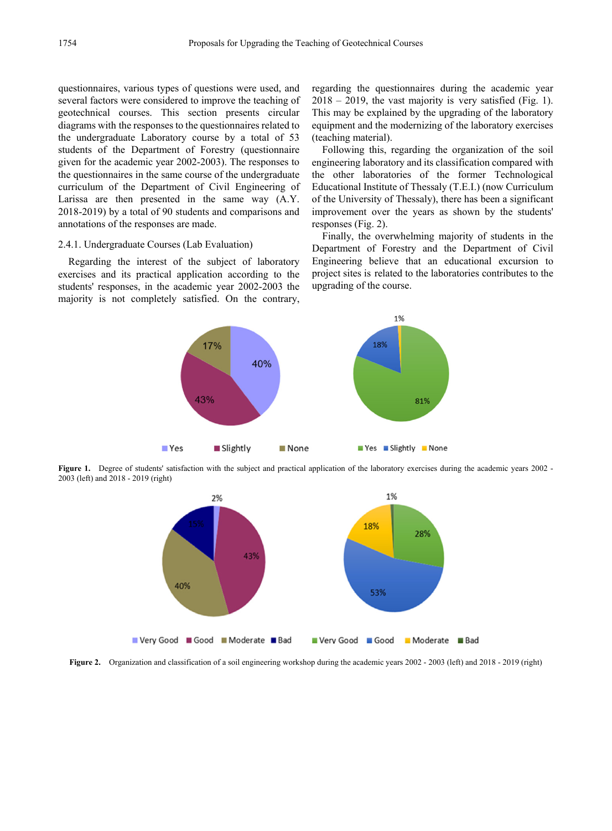questionnaires, various types of questions were used, and several factors were considered to improve the teaching of geotechnical courses. This section presents circular diagrams with the responses to the questionnaires related to the undergraduate Laboratory course by a total of 53 students of the Department of Forestry (questionnaire given for the academic year 2002-2003). The responses to the questionnaires in the same course of the undergraduate curriculum of the Department of Civil Engineering of Larissa are then presented in the same way (A.Y. 2018-2019) by a total of 90 students and comparisons and annotations of the responses are made.

## 2.4.1. Undergraduate Courses (Lab Evaluation)

Regarding the interest of the subject of laboratory exercises and its practical application according to the students' responses, in the academic year 2002-2003 the majority is not completely satisfied. On the contrary, regarding the questionnaires during the academic year  $2018 - 2019$ , the vast majority is very satisfied (Fig. 1). This may be explained by the upgrading of the laboratory equipment and the modernizing of the laboratory exercises (teaching material).

Following this, regarding the organization of the soil engineering laboratory and its classification compared with the other laboratories of the former Technological Educational Institute of Thessaly (T.E.I.) (now Curriculum of the University of Thessaly), there has been a significant improvement over the years as shown by the students' responses (Fig. 2).

Finally, the overwhelming majority of students in the Department of Forestry and the Department of Civil Engineering believe that an educational excursion to project sites is related to the laboratories contributes to the upgrading of the course.



**Figure 1.** Degree of students' satisfaction with the subject and practical application of the laboratory exercises during the academic years 2002 -2003 (left) and 2018 - 2019 (right)



**Figure 2.** Organization and classification of a soil engineering workshop during the academic years 2002 - 2003 (left) and 2018 - 2019 (right)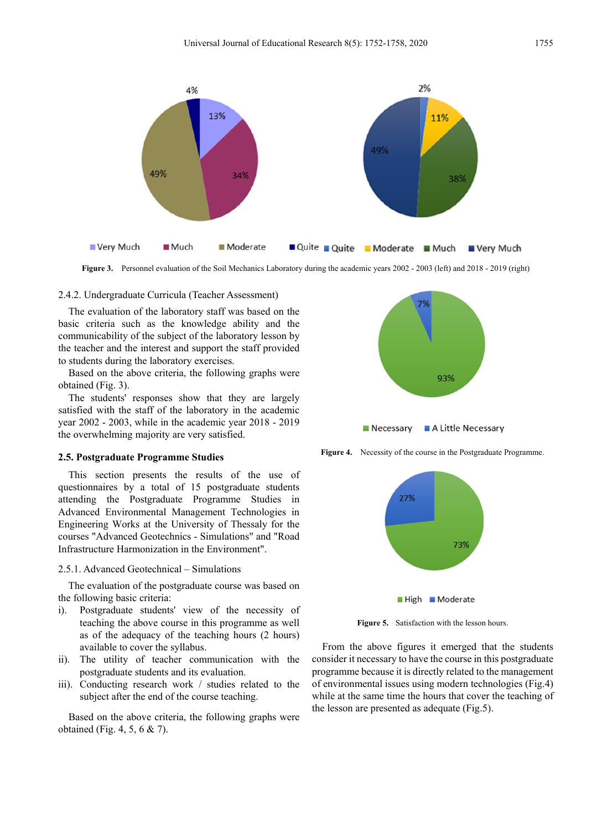

**Figure 3.** Personnel evaluation of the Soil Mechanics Laboratory during the academic years 2002 - 2003 (left) and 2018 - 2019 (right)

#### 2.4.2. Undergraduate Curricula (Teacher Assessment)

The evaluation of the laboratory staff was based on the basic criteria such as the knowledge ability and the communicability of the subject of the laboratory lesson by the teacher and the interest and support the staff provided to students during the laboratory exercises.

Based on the above criteria, the following graphs were obtained (Fig. 3).

The students' responses show that they are largely satisfied with the staff of the laboratory in the academic year 2002 - 2003, while in the academic year 2018 - 2019 the overwhelming majority are very satisfied.

#### **2.5. Postgraduate Programme Studies**

This section presents the results of the use of questionnaires by a total of 15 postgraduate students attending the Postgraduate Programme Studies in Advanced Environmental Management Technologies in Engineering Works at the University of Thessaly for the courses "Advanced Geotechnics - Simulations" and "Road Infrastructure Harmonization in the Environment".

#### 2.5.1. Advanced Geotechnical – Simulations

The evaluation of the postgraduate course was based on the following basic criteria:

- i). Postgraduate students' view of the necessity of teaching the above course in this programme as well as of the adequacy of the teaching hours (2 hours) available to cover the syllabus.
- ii). The utility of teacher communication with the postgraduate students and its evaluation.
- iii). Conducting research work / studies related to the subject after the end of the course teaching.

Based on the above criteria, the following graphs were obtained (Fig. 4, 5, 6 & 7).



**Figure 4.** Necessity of the course in the Postgraduate Programme.



**Figure 5.** Satisfaction with the lesson hours.

From the above figures it emerged that the students consider it necessary to have the course in this postgraduate programme because it is directly related to the management of environmental issues using modern technologies (Fig.4) while at the same time the hours that cover the teaching of the lesson are presented as adequate (Fig.5).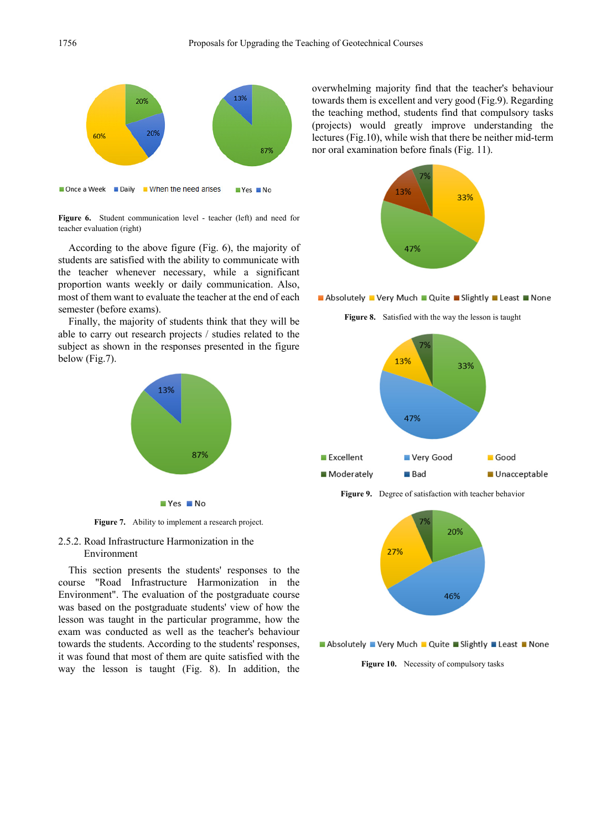



According to the above figure (Fig. 6), the majority of students are satisfied with the ability to communicate with the teacher whenever necessary, while a significant proportion wants weekly or daily communication. Also, most of them want to evaluate the teacher at the end of each semester (before exams).

Finally, the majority of students think that they will be able to carry out research projects / studies related to the subject as shown in the responses presented in the figure below (Fig.7).



**Figure 7.** Ability to implement a research project.

### 2.5.2. Road Infrastructure Harmonization in the Environment

This section presents the students' responses to the course "Road Infrastructure Harmonization in the Environment". The evaluation of the postgraduate course was based on the postgraduate students' view of how the lesson was taught in the particular programme, how the exam was conducted as well as the teacher's behaviour towards the students. According to the students' responses, it was found that most of them are quite satisfied with the way the lesson is taught (Fig. 8). In addition, the overwhelming majority find that the teacher's behaviour towards them is excellent and very good (Fig.9). Regarding the teaching method, students find that compulsory tasks (projects) would greatly improve understanding the lectures (Fig.10), while wish that there be neither mid-term nor oral examination before finals (Fig. 11).



Absolutely Very Much Quite Slightly Least None





**Figure 9.** Degree of satisfaction with teacher behavior



Absolutely Very Much Quite Slightly Least None

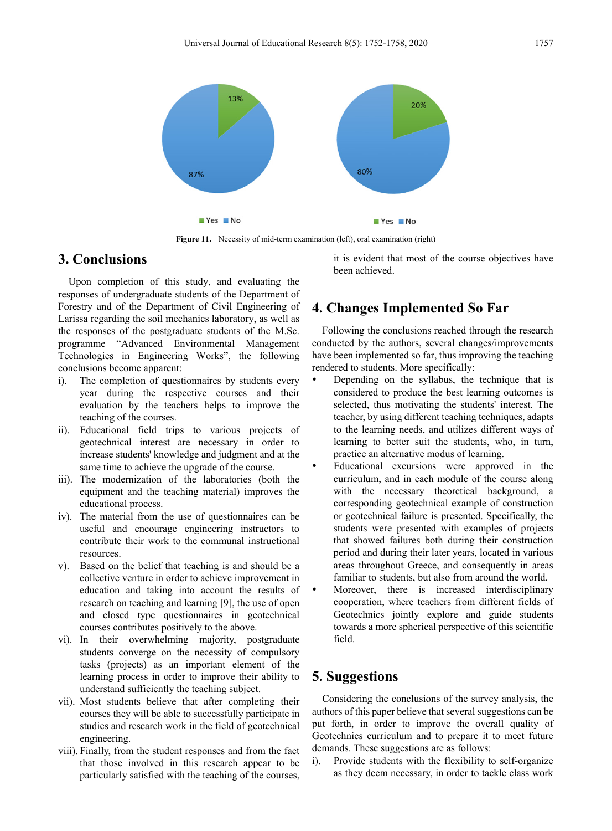

Figure 11. Necessity of mid-term examination (left), oral examination (right)

# **3. Conclusions**

Upon completion of this study, and evaluating the responses of undergraduate students of the Department of Forestry and of the Department of Civil Engineering of Larissa regarding the soil mechanics laboratory, as well as the responses of the postgraduate students of the M.Sc. programme "Advanced Environmental Management Technologies in Engineering Works", the following conclusions become apparent:

- i). The completion of questionnaires by students every year during the respective courses and their evaluation by the teachers helps to improve the teaching of the courses.
- ii). Educational field trips to various projects of geotechnical interest are necessary in order to increase students' knowledge and judgment and at the same time to achieve the upgrade of the course.
- iii). The modernization of the laboratories (both the equipment and the teaching material) improves the educational process.
- iv). The material from the use of questionnaires can be useful and encourage engineering instructors to contribute their work to the communal instructional resources.
- v). Based on the belief that teaching is and should be a collective venture in order to achieve improvement in education and taking into account the results of research on teaching and learning [9], the use of open and closed type questionnaires in geotechnical courses contributes positively to the above.
- vi). In their overwhelming majority, postgraduate students converge on the necessity of compulsory tasks (projects) as an important element of the learning process in order to improve their ability to understand sufficiently the teaching subject.
- vii). Most students believe that after completing their courses they will be able to successfully participate in studies and research work in the field of geotechnical engineering.
- viii). Finally, from the student responses and from the fact that those involved in this research appear to be particularly satisfied with the teaching of the courses,

it is evident that most of the course objectives have been achieved.

# **4. Changes Implemented So Far**

Following the conclusions reached through the research conducted by the authors, several changes/improvements have been implemented so far, thus improving the teaching rendered to students. More specifically:

- Depending on the syllabus, the technique that is considered to produce the best learning outcomes is selected, thus motivating the students' interest. The teacher, by using different teaching techniques, adapts to the learning needs, and utilizes different ways of learning to better suit the students, who, in turn, practice an alternative modus of learning.
- Educational excursions were approved in the curriculum, and in each module of the course along with the necessary theoretical background, a corresponding geotechnical example of construction or geotechnical failure is presented. Specifically, the students were presented with examples of projects that showed failures both during their construction period and during their later years, located in various areas throughout Greece, and consequently in areas familiar to students, but also from around the world.
- Moreover, there is increased interdisciplinary cooperation, where teachers from different fields of Geotechnics jointly explore and guide students towards a more spherical perspective of this scientific field.

# **5. Suggestions**

Considering the conclusions of the survey analysis, the authors of this paper believe that several suggestions can be put forth, in order to improve the overall quality of Geotechnics curriculum and to prepare it to meet future demands. These suggestions are as follows:

i). Provide students with the flexibility to self-organize as they deem necessary, in order to tackle class work